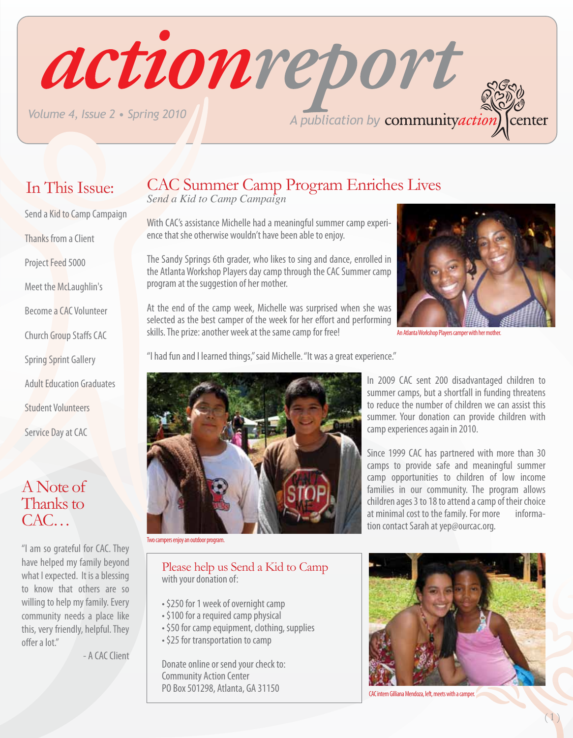*A publication by Volume 4, Issue 2 • Spring 2010*

### CAC Summer Camp Program Enriches Lives

*Send a Kid to Camp Campaign*

With CAC's assistance Michelle had a meaningful summer camp experience that she otherwise wouldn't have been able to enjoy.

actionreport

The Sandy Springs 6th grader, who likes to sing and dance, enrolled in the Atlanta Workshop Players day camp through the CAC Summer camp program at the suggestion of her mother.

At the end of the camp week, Michelle was surprised when she was selected as the best camper of the week for her effort and performing skills. The prize: another week at the same camp for free!

"I had fun and I learned things," said Michelle. "It was a great experience."



An Atlanta Workshop Players camper with her mother.

center

Since 1999 CAC has partnered with more than 30 camps to provide safe and meaningful summer camp opportunities to children of low income families in our community. The program allows children ages 3 to 18 to attend a camp of their choice<br>at minimal cost to the family. For more informaat minimal cost to the family. For more tion contact Sarah at yep@ourcac.org.



CAC intern Gilliana Mendoza, left, meets with a camper.



- Send a Kid to Camp Campaign Thanks from a Client
- Project Feed 5000
- Meet the McLaughlin's
- Become a CAC Volunteer
- Church Group Staffs CAC
- Spring Sprint Gallery
- 
- Adult Education Graduates
- Student Volunteers
- Service Day at CAC

#### A Note of Thanks to CAC…

"I am so grateful for CAC. They have helped my family beyond what I expected. It is a blessing to know that others are so willing to help my family. Every community needs a place like this, very friendly, helpful. They offer a lot."

- A CAC Client



Two campers enjoy an outdoor program.

#### Please help us Send a Kid to Camp with your donation of:

- \$250 for 1 week of overnight camp
- \$100 for a required camp physical
- \$50 for camp equipment, clothing, supplies
- \$25 for transportation to camp

Donate online or send your check to: Community Action Center PO Box 501298, Atlanta, GA 31150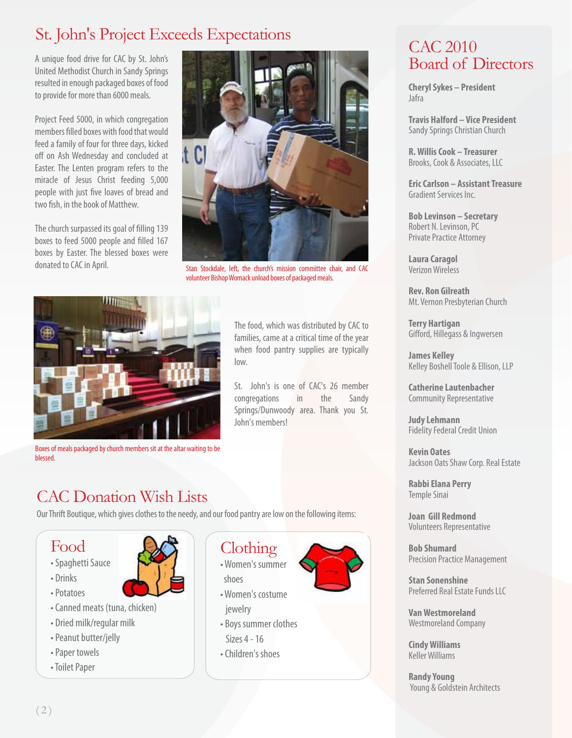# St. John's Project Exceeds Expectations CAC 2010

A unique food drive for CAC by St. John's United Methodist Church in Sandy Springs resulted in enough packaged boxes of food to provide for more than 6000 meals.

Project Feed 5000, in which congregation members filled boxes with food that would feed a family of four for three days, kicked off on Ash Wednesday and concluded at Easter. The Lenten program refers to the miracle of Jesus Christ feeding 5,000 people with just five loaves of bread and two fish, in the book of Matthew.

The church surpassed its goal of filling 139 boxes to feed 5000 people and filled 167 boxes by Easter. The blessed boxes were donated to CAC in April.



Stan Stockdale, left, the church's mission committee chair, and CAC volunteer Bishop Womack unload boxes of packaged meals.

The food, which was distributed by CAC to families, came at a critical time of the year when food pantry supplies are typically

St. John's is one of CAC's 26 member congregations in the Sandy Springs/Dunwoody area. Thank you St.



Boxes of meals packaged by church members sit at the altar waiting to be blessed.

### CAC Donation Wish Lists

Our Thrift Boutique, which gives clothes to the needy, and our food pantry are low on the following items:

#### Food

- Spaghetti Sauce
- Drinks
- Potatoes
- Canned meats (tuna, chicken)
- Dried milk/regular milk
- Peanut butter/jelly
- Paper towels
- Toilet Paper



#### Clothing

low.

John's members!

- Women's summer shoes
- Women's costume
- Boys summer clothes
- Sizes 4 16
- Children's shoes



# Board of Directors

**Cheryl Sykes – President** Jafra

**Travis Halford – Vice President**  Sandy Springs Christian Church

**R. Willis Cook – Treasurer** Brooks, Cook & Associates, LLC

**Eric Carlson – Assistant Treasure** Gradient Services Inc.

**Bob Levinson – Secretary** Robert N. Levinson, PC Private Practice Attorney

**Laura Caragol**  Verizon Wireless

**Rev. Ron Gilreath**  Mt. Vernon Presbyterian Church

**Terry Hartigan** Gifford, Hillegass & Ingwersen

**James Kelley**  Kelley Boshell Toole & Ellison, LLP

**Catherine Lautenbacher**  Community Representative

**Judy Lehmann** Fidelity Federal Credit Union

**Kevin Oates** Jackson Oats Shaw Corp. Real Estate

**Rabbi Elana Perry**  Temple Sinai

**Joan Gill Redmond**  Volunteers Representative

**Bob Shumard** Precision Practice Management

**Stan Sonenshine**  Preferred Real Estate Funds LLC

**Van Westmoreland** Westmoreland Company

**Cindy Williams** Keller Williams

**Randy Young** Young & Goldstein Architects

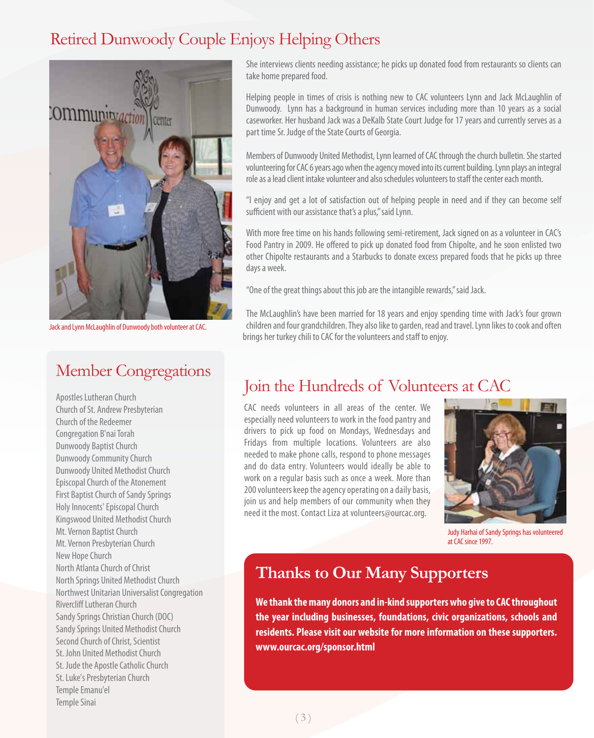### Retired Dunwoody Couple Enjoys Helping Others



Jack and Lynn McLaughlin of Dunwoody both volunteer at CAC.

#### Member Congregations

Apostles Lutheran Church Church of St. Andrew Presbyterian Church of the Redeemer Congregation B'nai Torah Dunwoody Baptist Church Dunwoody Community Church Dunwoody United Methodist Church Episcopal Church of the Atonement First Baptist Church of Sandy Springs Holy Innocents' Episcopal Church Kingswood United Methodist Church Mt. Vernon Baptist Church Mt. Vernon Presbyterian Church New Hope Church North Atlanta Church of Christ North Springs United Methodist Church Northwest Unitarian Universalist Congregation Rivercliff Lutheran Church Sandy Springs Christian Church (DOC) Sandy Springs United Methodist Church Second Church of Christ, Scientist St. John United Methodist Church St. Jude the Apostle Catholic Church St. Luke's Presbyterian Church Temple Emanu'el Temple Sinai

She interviews clients needing assistance; he picks up donated food from restaurants so clients can take home prepared food.

Helping people in times of crisis is nothing new to CAC volunteers Lynn and Jack McLaughlin of Dunwoody. Lynn has a background in human services including more than 10 years as a social caseworker. Her husband Jack was a DeKalb State Court Judge for 17 years and currently serves as a part time Sr. Judge of the State Courts of Georgia.

Members of Dunwoody United Methodist, Lynn learned of CAC through the church bulletin. She started volunteering for CAC 6 years ago when the agency moved into its current building. Lynn plays an integral role as a lead client intake volunteer and also schedules volunteers to staff the center each month.

"I enjoy and get a lot of satisfaction out of helping people in need and if they can become self sufficient with our assistance that's a plus," said Lynn.

With more free time on his hands following semi-retirement, Jack signed on as a volunteer in CAC's Food Pantry in 2009. He offered to pick up donated food from Chipolte, and he soon enlisted two other Chipolte restaurants and a Starbucks to donate excess prepared foods that he picks up three days a week.

"One of the great things about this job are the intangible rewards," said Jack.

The McLaughlin's have been married for 18 years and enjoy spending time with Jack's four grown children and four grandchildren. They also like to garden, read and travel. Lynn likes to cook and often brings her turkey chili to CAC for the volunteers and staff to enjoy.

#### Join the Hundreds of Volunteers at CAC

CAC needs volunteers in all areas of the center. We especially need volunteers to work in the food pantry and drivers to pick up food on Mondays, Wednesdays and Fridays from multiple locations. Volunteers are also needed to make phone calls, respond to phone messages and do data entry. Volunteers would ideally be able to work on a regular basis such as once a week. More than 200 volunteers keep the agency operating on a daily basis, join us and help members of our community when they need it the most. Contact Liza at volunteers@ourcac.org.



Judy Harhai of Sandy Springs has volunteered at CAC since 1997.

#### **Thanks to Our Many Supporters**

**We thank the many donors and in-kind supporters who give to CAC throughout the year including businesses, foundations, civic organizations, schools and residents. Please visit our website for more information on these supporters. www.ourcac.org/sponsor.html**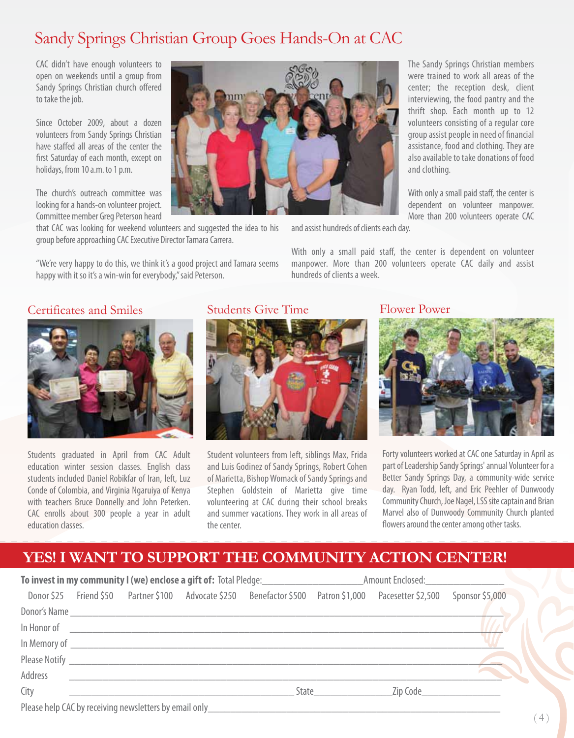#### Sandy Springs Christian Group Goes Hands-On at CAC

CAC didn't have enough volunteers to open on weekends until a group from Sandy Springs Christian church offered to take the job.

Since October 2009, about a dozen volunteers from Sandy Springs Christian have staffed all areas of the center the first Saturday of each month, except on holidays, from 10 a.m. to 1 p.m.

The church's outreach committee was looking for a hands-on volunteer project. Committee member Greg Peterson heard

that CAC was looking for weekend volunteers and suggested the idea to his group before approaching CAC Executive Director Tamara Carrera.

"We're very happy to do this, we think it's a good project and Tamara seems happy with it so it's a win-win for everybody," said Peterson.



and assist hundreds of clients each day.

With only a small paid staff, the center is dependent on volunteer manpower. More than 200 volunteers operate CAC daily and assist hundreds of clients a week.



Students graduated in April from CAC Adult education winter session classes. English class students included Daniel Robikfar of Iran, left, Luz Conde of Colombia, and Virginia Ngaruiya of Kenya with teachers Bruce Donnelly and John Peterken. CAC enrolls about 300 people a year in adult education classes.

#### Certificates and Smiles Students Give Time Flower Power



Student volunteers from left, siblings Max, Frida and Luis Godinez of Sandy Springs, Robert Cohen of Marietta, Bishop Womack of Sandy Springs and Stephen Goldstein of Marietta give time volunteering at CAC during their school breaks and summer vacations. They work in all areas of the center.



Forty volunteers worked at CAC one Saturday in April as part of Leadership Sandy Springs' annual Volunteer for a Better Sandy Springs Day, a community-wide service day. Ryan Todd, left, and Eric Peehler of Dunwoody Community Church, Joe Nagel, LSS site captain and Brian Marvel also of Dunwoody Community Church planted flowers around the center among other tasks.

#### **YES! I WANT TO SUPPORT THE COMMUNITY ACTION CENTER!**

| To invest in my community I (we) enclose a gift of: Total Pledge:<br><u>Laster and a gift of:</u> Total Pledge: |  |                                                                                                                                                                                                                                      |                                                                                                                                                                                                                                |                                                                                                                                   |       | Amount Enclosed:                                                                                               |                            |
|-----------------------------------------------------------------------------------------------------------------|--|--------------------------------------------------------------------------------------------------------------------------------------------------------------------------------------------------------------------------------------|--------------------------------------------------------------------------------------------------------------------------------------------------------------------------------------------------------------------------------|-----------------------------------------------------------------------------------------------------------------------------------|-------|----------------------------------------------------------------------------------------------------------------|----------------------------|
|                                                                                                                 |  |                                                                                                                                                                                                                                      |                                                                                                                                                                                                                                |                                                                                                                                   |       | Donor \$25 Friend \$50 Partner \$100 Advocate \$250 Benefactor \$500 Patron \$1,000 Pacesetter \$2,500         | Sponsor \$5,000            |
|                                                                                                                 |  |                                                                                                                                                                                                                                      |                                                                                                                                                                                                                                |                                                                                                                                   |       |                                                                                                                |                            |
|                                                                                                                 |  | In Honor of <u>2008 - 2008 - 2009 - 2009 - 2009 - 2009 - 2009 - 2009 - 2009 - 2009 - 2009 - 2009 - 2009 - 2009 - 2009 - 2009 - 2009 - 2009 - 2009 - 2009 - 2009 - 2009 - 2009 - 2009 - 2009 - 2009 - 2009 - 2009 - 2009 - 2009 -</u> |                                                                                                                                                                                                                                |                                                                                                                                   |       |                                                                                                                |                            |
|                                                                                                                 |  |                                                                                                                                                                                                                                      | In Memory of The Commission of The Commission of The Commission of The Commission of The Commission of The Commission of The Commission of The Commission of The Commission of The Commission of The Commission of The Commiss |                                                                                                                                   |       |                                                                                                                |                            |
|                                                                                                                 |  | Please Notify Please Notify                                                                                                                                                                                                          |                                                                                                                                                                                                                                |                                                                                                                                   |       |                                                                                                                |                            |
| Address                                                                                                         |  |                                                                                                                                                                                                                                      |                                                                                                                                                                                                                                |                                                                                                                                   |       |                                                                                                                |                            |
| City                                                                                                            |  |                                                                                                                                                                                                                                      |                                                                                                                                                                                                                                |                                                                                                                                   | State | Zip Code and the Control of the Control of the Control of the Control of the Control of the Control of the Con |                            |
|                                                                                                                 |  |                                                                                                                                                                                                                                      |                                                                                                                                                                                                                                | Please help CAC by receiving newsletters by email only <b>Example 2018</b> Please help CAC by receiving newsletters by email only |       |                                                                                                                | $($ $\Lambda$ $\backslash$ |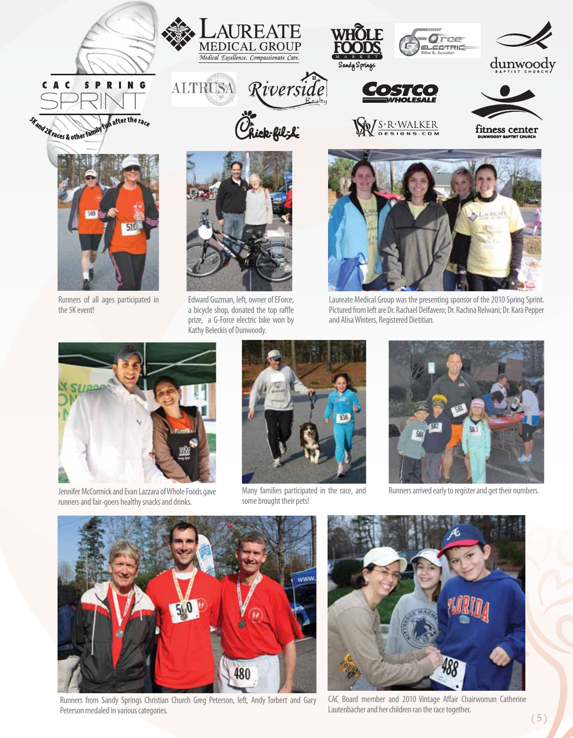





**ALTRUSA** 





R. WALKER



dunwoody

fitness center



Runners of all ages participated in the 5K event!



Edward Guzman, left, owner of EForce, a bicycle shop, donated the top raffle prize, a G-Force electric bike won by Kathy Beleckis of Dunwoody.



rce

COTRIC

Laureate Medical Group was the presenting sponsor of the 2010 Spring Sprint. Pictured from left are Dr. Rachael Delfavero; Dr. Rachna Relwani; Dr. Kara Pepper and Alisa Winters, Registered Dietitian.



Jennifer McCormick and Evan Lazzara of Whole Foods gave runners and fair-goers healthy snacks and drinks.



Many families participated in the race, and some brought their pets!



Runners arrived early to register and get their numbers.



Runners from Sandy Springs Christian Church Greg Peterson, left, Andy Torbert and Gary Peterson medaled in various categories.



CAC Board member and 2010 Vintage Affair Chairwoman Catherine Lautenbacher and her children ran the race together.